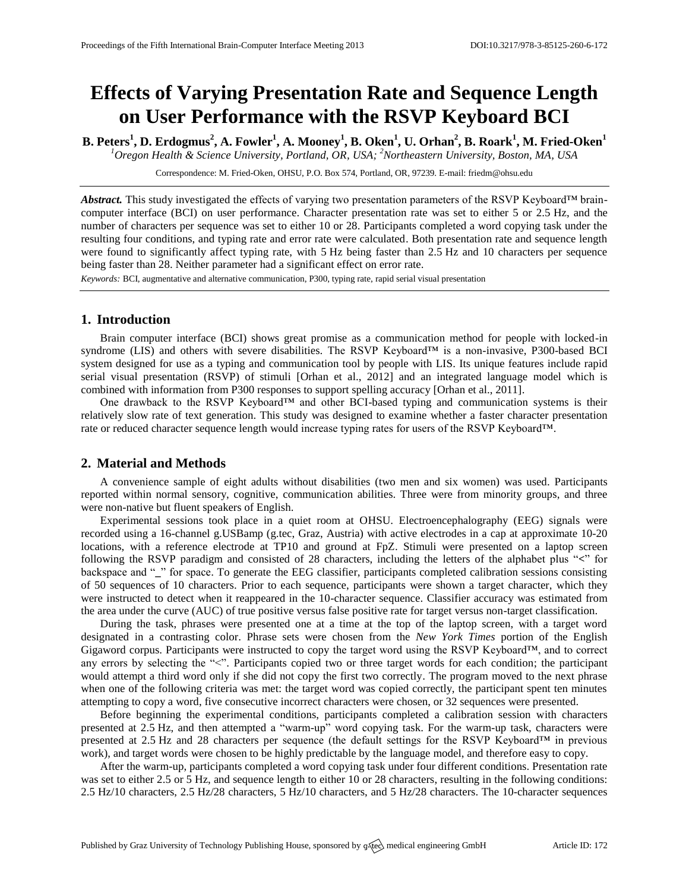# **Effects of Varying Presentation Rate and Sequence Length on User Performance with the RSVP Keyboard BCI**

**B. Peters<sup>1</sup> , D. Erdogmus<sup>2</sup> , A. Fowler<sup>1</sup> , A. Mooney<sup>1</sup> , B. Oken<sup>1</sup> , U. Orhan<sup>2</sup> , B. Roark<sup>1</sup> , M. Fried-Oken<sup>1</sup>** *<sup>1</sup>Oregon Health & Science University, Portland, OR, USA; <sup>2</sup>Northeastern University, Boston, MA, USA*

Correspondence: M. Fried-Oken, OHSU, P.O. Box 574, Portland, OR, 97239. E-mail[: friedm@ohsu.edu](mailto:friedm@ohsu.edu)

*Abstract.* This study investigated the effects of varying two presentation parameters of the RSVP Keyboard™ braincomputer interface (BCI) on user performance. Character presentation rate was set to either 5 or 2.5 Hz, and the number of characters per sequence was set to either 10 or 28. Participants completed a word copying task under the resulting four conditions, and typing rate and error rate were calculated. Both presentation rate and sequence length were found to significantly affect typing rate, with 5 Hz being faster than 2.5 Hz and 10 characters per sequence being faster than 28. Neither parameter had a significant effect on error rate.

*Keywords:* BCI, augmentative and alternative communication, P300, typing rate, rapid serial visual presentation

## **1. Introduction**

Brain computer interface (BCI) shows great promise as a communication method for people with locked-in syndrome (LIS) and others with severe disabilities. The RSVP Keyboard™ is a non-invasive, P300-based BCI system designed for use as a typing and communication tool by people with LIS. Its unique features include rapid serial visual presentation (RSVP) of stimuli [Orhan et al., 2012] and an integrated language model which is combined with information from P300 responses to support spelling accuracy [Orhan et al., 2011].

One drawback to the RSVP Keyboard™ and other BCI-based typing and communication systems is their relatively slow rate of text generation. This study was designed to examine whether a faster character presentation rate or reduced character sequence length would increase typing rates for users of the RSVP Keyboard™.

### **2. Material and Methods**

A convenience sample of eight adults without disabilities (two men and six women) was used. Participants reported within normal sensory, cognitive, communication abilities. Three were from minority groups, and three were non-native but fluent speakers of English.

Experimental sessions took place in a quiet room at OHSU. Electroencephalography (EEG) signals were recorded using a 16-channel g.USBamp (g.tec, Graz, Austria) with active electrodes in a cap at approximate 10-20 locations, with a reference electrode at TP10 and ground at FpZ. Stimuli were presented on a laptop screen following the RSVP paradigm and consisted of 28 characters, including the letters of the alphabet plus "**<**" for backspace and "**\_**" for space. To generate the EEG classifier, participants completed calibration sessions consisting of 50 sequences of 10 characters. Prior to each sequence, participants were shown a target character, which they were instructed to detect when it reappeared in the 10-character sequence. Classifier accuracy was estimated from the area under the curve (AUC) of true positive versus false positive rate for target versus non-target classification.

During the task, phrases were presented one at a time at the top of the laptop screen, with a target word designated in a contrasting color. Phrase sets were chosen from the *New York Times* portion of the English Gigaword corpus. Participants were instructed to copy the target word using the RSVP Keyboard™, and to correct any errors by selecting the "<". Participants copied two or three target words for each condition; the participant would attempt a third word only if she did not copy the first two correctly. The program moved to the next phrase when one of the following criteria was met: the target word was copied correctly, the participant spent ten minutes attempting to copy a word, five consecutive incorrect characters were chosen, or 32 sequences were presented.

Before beginning the experimental conditions, participants completed a calibration session with characters presented at 2.5 Hz, and then attempted a "warm-up" word copying task. For the warm-up task, characters were presented at 2.5 Hz and 28 characters per sequence (the default settings for the RSVP Keyboard™ in previous work), and target words were chosen to be highly predictable by the language model, and therefore easy to copy.

After the warm-up, participants completed a word copying task under four different conditions. Presentation rate was set to either 2.5 or 5 Hz, and sequence length to either 10 or 28 characters, resulting in the following conditions: 2.5 Hz/10 characters, 2.5 Hz/28 characters, 5 Hz/10 characters, and 5 Hz/28 characters. The 10-character sequences